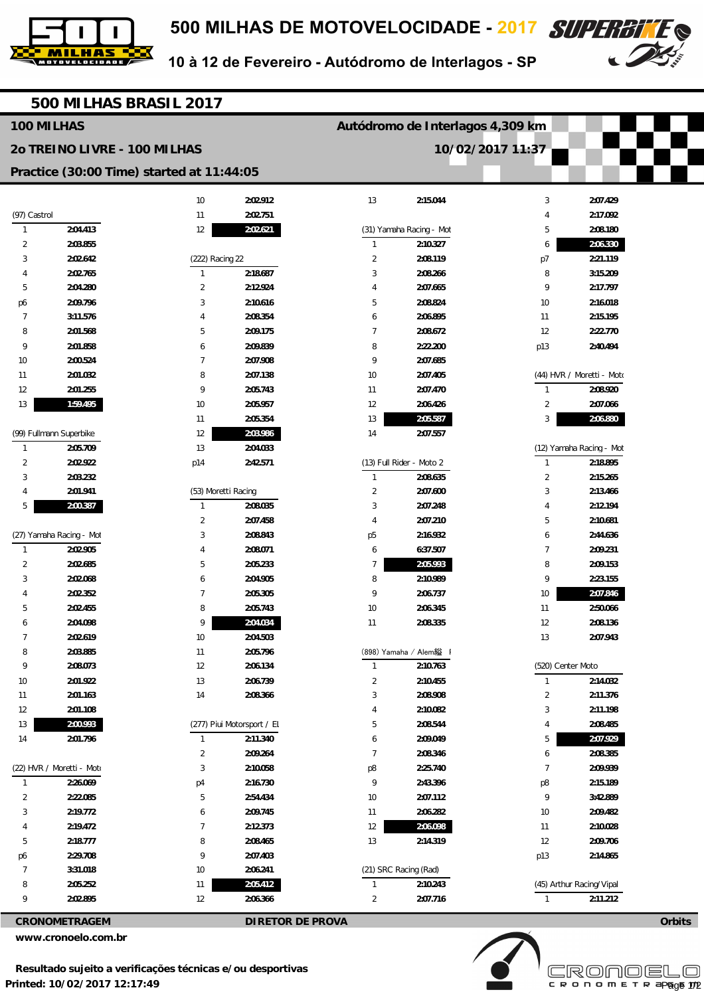



10 à 12 de Fevereiro - Autódromo de Interlagos - SP

|                              | 500 MILHAS BRASIL 2017    |                                           |                            |                                  |                          |                   |                           |        |
|------------------------------|---------------------------|-------------------------------------------|----------------------------|----------------------------------|--------------------------|-------------------|---------------------------|--------|
| 100 MILHAS                   |                           |                                           |                            | Autódromo de Interlagos 4,309 km |                          |                   |                           |        |
| 20 TREINO LIVRE - 100 MILHAS |                           |                                           |                            | 10/02/2017 11:37                 |                          |                   |                           |        |
|                              |                           | Practice (30:00 Time) started at 11:44:05 |                            |                                  |                          |                   |                           |        |
|                              |                           |                                           |                            |                                  |                          |                   |                           |        |
|                              |                           | $10$                                      | 2:02.912                   | 13                               | 2:15.044                 | 3                 | 2:07.429                  |        |
| (97) Castrol                 |                           | 11                                        | 2:02.751                   |                                  |                          | 4                 | 2:17.092                  |        |
| 1                            | 2:04.413                  | 12                                        | 2:02.621                   |                                  | (31) Yamaha Racing - Mot | 5                 | 2:08.180                  |        |
| 2                            | 2:03.855                  |                                           |                            | $\mathbf{1}$                     | 2:10.327                 | 6                 | 2:06.330                  |        |
| 3                            | 2:02.642                  | (222) Racing 22                           |                            | $\overline{2}$                   | 2:08.119                 | p7                | 2:21.119                  |        |
|                              | 2:02.765                  | 1                                         | 2:18.687                   | 3<br>$\overline{A}$              | 2:08.266                 | 8                 | 3:15.209                  |        |
| 5                            | 2:04.280                  | $\overline{2}$                            | 2:12.924                   |                                  | 2:07.665                 | 9                 | 2:17.797                  |        |
| p6                           | 2:09.796                  | 3                                         | 2:10.616                   | 5                                | 2:08.824                 | 10                | 2:16.018                  |        |
| 7<br>8                       | 3:11.576<br>2:01.568      | 4<br>5                                    | 2:08.354<br>2:09.175       | 6<br>$\overline{7}$              | 2:06.895<br>2:08.672     | 11<br>12          | 2:15.195<br>2:22.770      |        |
| 9                            | 2:01.858                  |                                           | 2:09.839                   | 8                                | 2:22.200                 |                   | 2:40.494                  |        |
| 10                           | 2:00.524                  | 6<br>7                                    | 2:07.908                   | 9                                | 2:07.685                 | p13               |                           |        |
| 11                           | 2:01.032                  | 8                                         | 2:07.138                   | 10                               | 2:07.405                 |                   | (44) HVR / Moretti - Moto |        |
| 12                           | 2:01.255                  | 9                                         | 2:05.743                   | 11                               | 2:07.470                 | $\mathbf{1}$      | 2:08.920                  |        |
| 13                           | 1:59.495                  | 10                                        | 2:05.957                   | 12                               | 2:06.426                 | $\overline{2}$    | 2:07.066                  |        |
|                              |                           | 11                                        | 2:05.354                   | 13                               | 2:05.587                 | 3                 | 2:06.880                  |        |
|                              | (99) Fullmann Superbike   | 12                                        | 2:03.986                   | 14                               | 2:07.557                 |                   |                           |        |
| $\mathbf{1}$                 | 2:05.709                  | 13                                        | 2:04.033                   |                                  |                          |                   | (12) Yamaha Racing - Mot  |        |
| 2                            | 2:02.922                  | p14                                       | 2:42.571                   |                                  | (13) Full Rider - Moto 2 | $\mathbf{1}$      | 2:18.895                  |        |
| 3                            | 2:03.232                  |                                           |                            | $\mathbf{1}$                     | 2:08.635                 | $\overline{2}$    | 2:15.265                  |        |
| 4                            | 2:01.941                  | (53) Moretti Racing                       |                            | $\overline{2}$                   | 2:07.600                 | 3                 | 2:13.466                  |        |
| 5                            | 2:00.387                  | $\mathbf{1}$                              | 2:08.035                   | 3                                | 2:07.248                 | 4                 | 2:12.194                  |        |
|                              |                           | $\overline{2}$                            | 2:07.458                   | $\overline{4}$                   | 2:07.210                 | 5                 | 2:10.681                  |        |
|                              | (27) Yamaha Racing - Mot  | 3                                         | 2:08.843                   | p <sub>5</sub>                   | 2:16.932                 | 6                 | 2:44.636                  |        |
| $\mathbf{1}$                 | 2:02.905                  | $\overline{4}$                            | 2:08.071                   | 6                                | 6:37.507                 | $\overline{7}$    | 2:09.231                  |        |
| $\overline{c}$               | 2:02.685                  | 5                                         | 2:05.233                   | $\overline{7}$                   | 2:05.993                 | 8                 | 2:09.153                  |        |
| 3                            | 2:02.068                  | 6                                         | 2:04.905                   | 8                                | 2:10.989                 | 9                 | 2:23.155                  |        |
|                              | 2:02.352                  | 7                                         | 2:05.305                   | 9                                | 2:06.737                 | 10                | 2:07.846                  |        |
| 5                            | 2:02.455                  | 8                                         | 2:05.743                   | 10                               | 2:06.345                 | 11                | 2:50.066                  |        |
| 6                            | 2:04.098                  | 9                                         | 2:04.034                   | 11                               | 2:08.335                 | 12                | 2:08.136                  |        |
| $\overline{7}$               | 2:02.619                  | 10                                        | 2:04.503                   |                                  |                          | 13                | 2:07.943                  |        |
| 8                            | 2:03.885                  | 11                                        | 2:05.796                   |                                  | (898) Yamaha / Alem縊     |                   |                           |        |
| 9                            | 2:08.073                  | 12                                        | 2:06.134                   | $\mathbf{1}$                     | 2:10.763                 | (520) Center Moto |                           |        |
| $10$                         | 2:01.922                  | 13                                        | 2:06.739                   | $\overline{2}$                   | 2:10.455                 | $\mathbf{1}$      | 2:14.032                  |        |
| 11                           | 2:01.163                  | 14                                        | 2:08.366                   | 3                                | 2:08.908                 | $\overline{2}$    | 2:11.376                  |        |
| 12                           | 2:01.108                  |                                           |                            | $\overline{4}$                   | 2:10.082                 | 3                 | 2:11.198                  |        |
| 13                           | 2:00.993                  |                                           | (277) Piui Motorsport / El | $5\,$                            | 2:08.544                 | 4                 | 2:08.485                  |        |
| 14                           | 2:01.796                  | $\mathbf{1}$                              | 2:11.340                   | 6                                | 2:09.049                 | 5                 | 2:07.929                  |        |
|                              |                           | $\overline{2}$                            | 2:09.264                   | $\overline{7}$                   | 2:08.346                 | 6                 | 2:08.385                  |        |
|                              | (22) HVR / Moretti - Moto | 3                                         | 2:10.058                   | p8                               | 2:25.740                 | $\overline{7}$    | 2:09.939                  |        |
| $\mathbf{1}$                 | 2:26.069                  | p4                                        | 2:16.730                   | 9                                | 2:43.396                 | p8                | 2:15.189                  |        |
| $\overline{c}$               | 2:22.085                  | 5                                         | 2:54.434                   | 10                               | 2:07.112                 | 9                 | 3:42.889                  |        |
| 3                            | 2:19.772                  | 6                                         | 2:09.745                   | 11                               | 2:06.282                 | 10                | 2:09.482                  |        |
| 4                            | 2:19.472                  | $\overline{7}$                            | 2:12.373                   | $12\,$                           | 2:06.098                 | 11                | 2:10.028                  |        |
| 5                            | 2:18.777                  | 8                                         | 2:08.465                   | 13                               | 2:14.319                 | 12                | 2:09.706                  |        |
| p6                           | 2:29.708                  | 9                                         | 2:07.403                   |                                  |                          | p13               | 2:14.865                  |        |
| 7                            | 3:31.018                  | 10                                        | 2:06.241                   |                                  | (21) SRC Racing (Rad)    |                   |                           |        |
| 8                            | 2:05.252                  | 11                                        | 2:05.412                   | $\mathbf{1}$                     | 2:10.243                 |                   | (45) Arthur Racing/Vipal  |        |
| 9                            | 2:02.895                  | 12                                        | 2:06.366                   | $\overline{2}$                   | 2:07.716                 | $\mathbf{1}$      | 2:11.212                  |        |
| <b>CRONOMETRAGEM</b>         |                           |                                           | <b>DIRETOR DE PROVA</b>    |                                  |                          |                   |                           | Orbits |

**CRONOMETRAGEM DIRETOR DE PROVA** 

**www.cronoelo.com.br**